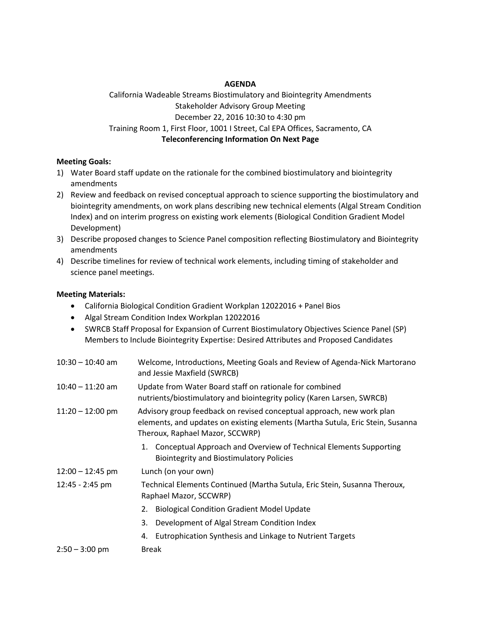## **AGENDA**

California Wadeable Streams Biostimulatory and Biointegrity Amendments Stakeholder Advisory Group Meeting December 22, 2016 10:30 to 4:30 pm Training Room 1, First Floor, 1001 I Street, Cal EPA Offices, Sacramento, CA **Teleconferencing Information On Next Page**

### **Meeting Goals:**

- 1) Water Board staff update on the rationale for the combined biostimulatory and biointegrity amendments
- 2) Review and feedback on revised conceptual approach to science supporting the biostimulatory and biointegrity amendments, on work plans describing new technical elements (Algal Stream Condition Index) and on interim progress on existing work elements (Biological Condition Gradient Model Development)
- 3) Describe proposed changes to Science Panel composition reflecting Biostimulatory and Biointegrity amendments
- 4) Describe timelines for review of technical work elements, including timing of stakeholder and science panel meetings.

### **Meeting Materials:**

- California Biological Condition Gradient Workplan 12022016 + Panel Bios
- Algal Stream Condition Index Workplan 12022016
- SWRCB Staff Proposal for Expansion of Current Biostimulatory Objectives Science Panel (SP) Members to Include Biointegrity Expertise: Desired Attributes and Proposed Candidates

| $10:30 - 10:40$ am | Welcome, Introductions, Meeting Goals and Review of Agenda-Nick Martorano<br>and Jessie Maxfield (SWRCB)                                                                                   |  |  |
|--------------------|--------------------------------------------------------------------------------------------------------------------------------------------------------------------------------------------|--|--|
| $10:40 - 11:20$ am | Update from Water Board staff on rationale for combined<br>nutrients/biostimulatory and biointegrity policy (Karen Larsen, SWRCB)                                                          |  |  |
| $11:20 - 12:00$ pm | Advisory group feedback on revised conceptual approach, new work plan<br>elements, and updates on existing elements (Martha Sutula, Eric Stein, Susanna<br>Theroux, Raphael Mazor, SCCWRP) |  |  |
|                    | 1. Conceptual Approach and Overview of Technical Elements Supporting<br><b>Biointegrity and Biostimulatory Policies</b>                                                                    |  |  |
| $12:00 - 12:45$ pm | Lunch (on your own)                                                                                                                                                                        |  |  |
| 12:45 - 2:45 pm    | Technical Elements Continued (Martha Sutula, Eric Stein, Susanna Theroux,<br>Raphael Mazor, SCCWRP)                                                                                        |  |  |
|                    | <b>Biological Condition Gradient Model Update</b><br>2.                                                                                                                                    |  |  |
|                    | Development of Algal Stream Condition Index<br>3.                                                                                                                                          |  |  |
|                    | Eutrophication Synthesis and Linkage to Nutrient Targets<br>4.                                                                                                                             |  |  |
| $2:50 - 3:00$ pm   | <b>Break</b>                                                                                                                                                                               |  |  |